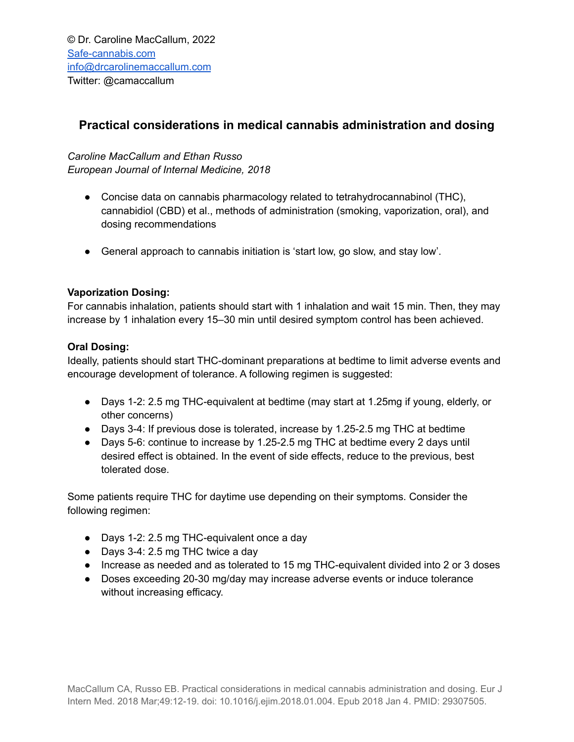# **Practical considerations in medical cannabis administration and dosing**

## *Caroline MacCallum and Ethan Russo*

*European Journal of Internal Medicine, 2018*

- Concise data on cannabis pharmacology related to tetrahydrocannabinol (THC), cannabidiol (CBD) et al., methods of administration (smoking, vaporization, oral), and dosing recommendations
- General approach to cannabis initiation is 'start low, go slow, and stay low'.

## **Vaporization Dosing:**

For cannabis inhalation, patients should start with 1 inhalation and wait 15 min. Then, they may increase by 1 inhalation every 15–30 min until desired symptom control has been achieved.

## **Oral Dosing:**

Ideally, patients should start THC-dominant preparations at bedtime to limit adverse events and encourage development of tolerance. A following regimen is suggested:

- Days 1-2: 2.5 mg THC-equivalent at bedtime (may start at 1.25mg if young, elderly, or other concerns)
- Days 3-4: If previous dose is tolerated, increase by 1.25-2.5 mg THC at bedtime
- Days 5-6: continue to increase by 1.25-2.5 mg THC at bedtime every 2 days until desired effect is obtained. In the event of side effects, reduce to the previous, best tolerated dose.

Some patients require THC for daytime use depending on their symptoms. Consider the following regimen:

- Days 1-2: 2.5 mg THC-equivalent once a day
- Days 3-4: 2.5 mg THC twice a day
- Increase as needed and as tolerated to 15 mg THC-equivalent divided into 2 or 3 doses
- Doses exceeding 20-30 mg/day may increase adverse events or induce tolerance without increasing efficacy.